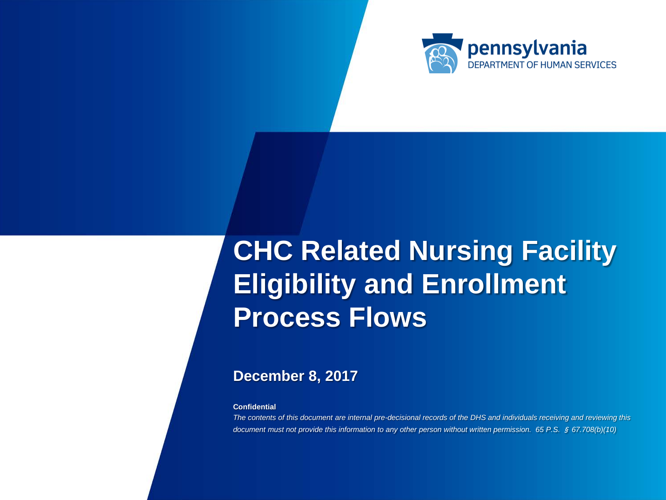

# **CHC Related Nursing Facility Eligibility and Enrollment Process Flows**

### **December 8, 2017**

**Confidential**

*Confidential: The contents of this document are internal pre-decisional records of the DHS and individuals receiving and reviewing this document must not provide this information to any other person without written permission. 65 P.S.* § *67.708(b)(10)*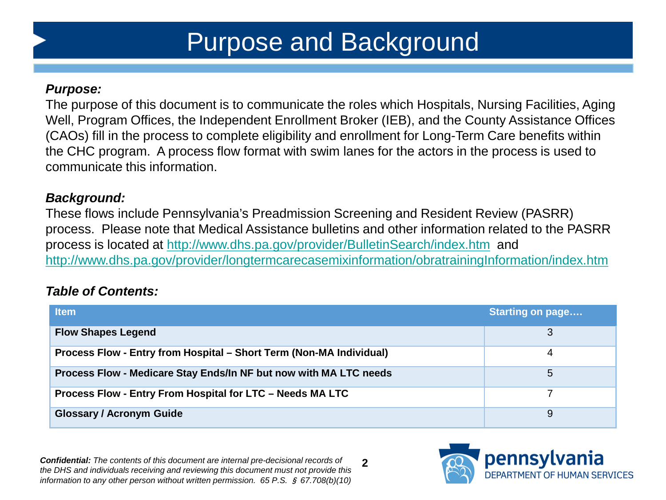## Purpose and Background

#### *Purpose:*

The purpose of this document is to communicate the roles which Hospitals, Nursing Facilities, Aging Well, Program Offices, the Independent Enrollment Broker (IEB), and the County Assistance Offices (CAOs) fill in the process to complete eligibility and enrollment for Long-Term Care benefits within the CHC program. A process flow format with swim lanes for the actors in the process is used to communicate this information.

#### *Background:*

These flows include Pennsylvania's Preadmission Screening and Resident Review (PASRR) process. Please note that Medical Assistance bulletins and other information related to the PASRR process is located at<http://www.dhs.pa.gov/provider/BulletinSearch/index.htm> and <http://www.dhs.pa.gov/provider/longtermcarecasemixinformation/obratrainingInformation/index.htm>

### *Table of Contents:*

| <b>Item</b>                                                         | <b>Starting on page</b> |
|---------------------------------------------------------------------|-------------------------|
| <b>Flow Shapes Legend</b>                                           | 3                       |
| Process Flow - Entry from Hospital – Short Term (Non-MA Individual) | 4                       |
| Process Flow - Medicare Stay Ends/In NF but now with MA LTC needs   | 5                       |
| Process Flow - Entry From Hospital for LTC - Needs MA LTC           |                         |
| <b>Glossary / Acronym Guide</b>                                     | 9                       |

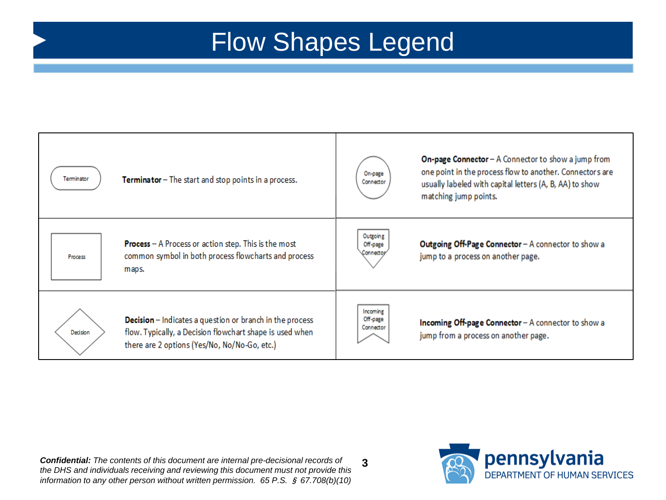## Flow Shapes Legend



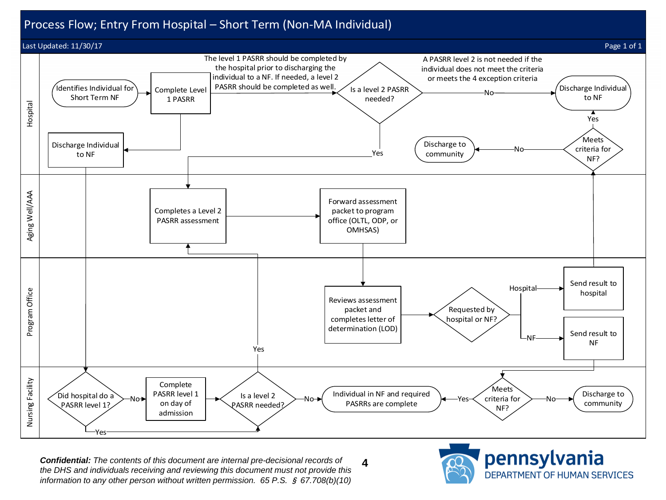#### Process Flow; Entry From Hospital – Short Term (Non-MA Individual)



**4** *Confidential: The contents of this document are internal pre-decisional records of the DHS and individuals receiving and reviewing this document must not provide this information to any other person without written permission. 65 P.S.* § *67.708(b)(10)* 

pennsylvania DEPARTMENT OF HUMAN SERVICES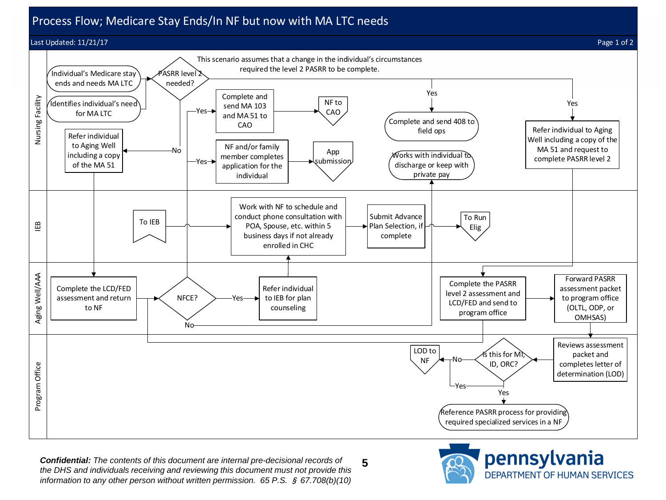#### Process Flow; Medicare Stay Ends/In NF but now with MA LTC needs

#### Last Updated: 11/21/17 Page 1 of 2





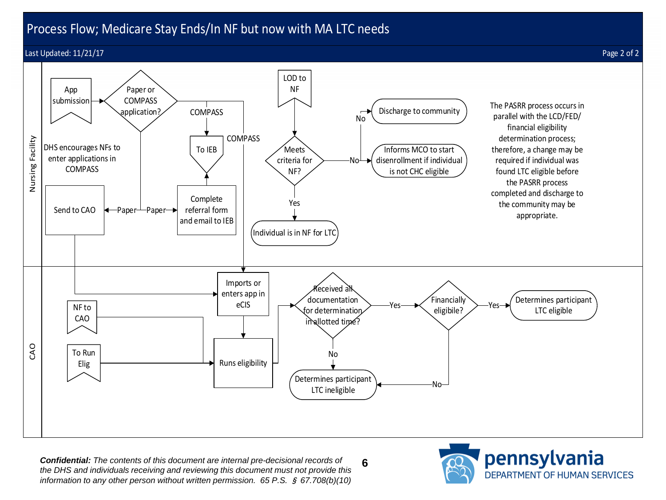### Process Flow; Medicare Stay Ends/In NF but now with MA LTC needs

#### Last Updated: 11/21/17 Page 2 of 2





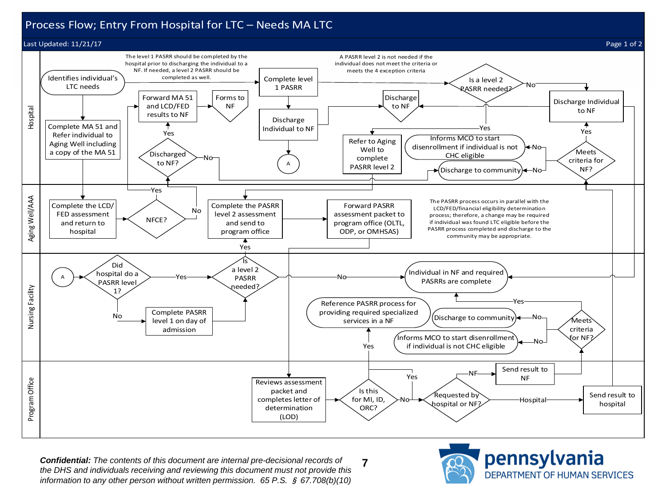#### Process Flow; Entry From Hospital for LTC – Needs MA LTC







**7** *Confidential: The contents of this document are internal pre-decisional records of the DHS and individuals receiving and reviewing this document must not provide this information to any other person without written permission. 65 P.S.* § *67.708(b)(10)* 



pennsylvania DEPARTMENT OF HUMAN SERVICES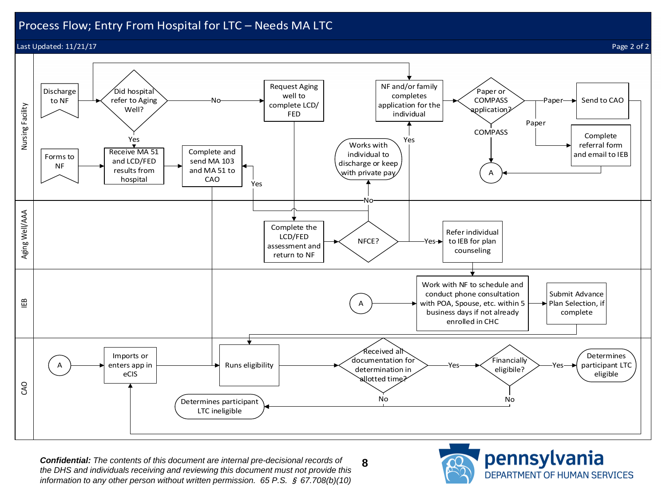#### Process Flow; Entry From Hospital for LTC – Needs MA LTC

Last Updated: 11/21/17 Page 2 of 2

Aging Well/AAA Nursing Facility

Aging Well/AAA

Nursing Facility

IEB

CAO



**8** *Confidential: The contents of this document are internal pre-decisional records of the DHS and individuals receiving and reviewing this document must not provide this information to any other person without written permission. 65 P.S.* § *67.708(b)(10)* 

pennsylvania DEPARTMENT OF HUMAN SERVICES